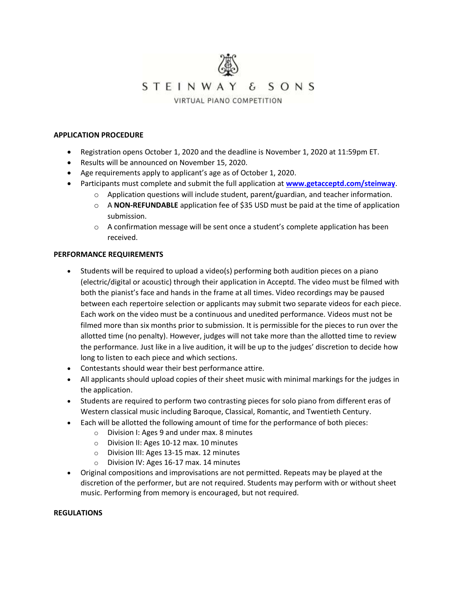

#### **APPLICATION PROCEDURE**

- Registration opens October 1, 2020 and the deadline is November 1, 2020 at 11:59pm ET.
- Results will be announced on November 15, 2020.
- Age requirements apply to applicant's age as of October 1, 2020.
- Participants must complete and submit the full application at **[www.getacceptd.com/steinway](file:///C:/Users/eolson/Dropbox%20(Steinway%20New%20York)/DESKTOP/PIANO%20COMPETITION/JUNIOR/2020%20-%20Junior%20Piano%20Competition/www.getacceptd.com/steinway)**.
	- $\circ$  Application questions will include student, parent/guardian, and teacher information.
	- o A **NON-REFUNDABLE** application fee of \$35 USD must be paid at the time of application submission.
	- $\circ$  A confirmation message will be sent once a student's complete application has been received.

#### **PERFORMANCE REQUIREMENTS**

- Students will be required to upload a video(s) performing both audition pieces on a piano (electric/digital or acoustic) through their application in Acceptd. The video must be filmed with both the pianist's face and hands in the frame at all times. Video recordings may be paused between each repertoire selection or applicants may submit two separate videos for each piece. Each work on the video must be a continuous and unedited performance. Videos must not be filmed more than six months prior to submission. It is permissible for the pieces to run over the allotted time (no penalty). However, judges will not take more than the allotted time to review the performance. Just like in a live audition, it will be up to the judges' discretion to decide how long to listen to each piece and which sections.
- Contestants should wear their best performance attire.
- All applicants should upload copies of their sheet music with minimal markings for the judges in the application.
- Students are required to perform two contrasting pieces for solo piano from different eras of Western classical music including Baroque, Classical, Romantic, and Twentieth Century.
- Each will be allotted the following amount of time for the performance of both pieces:
	- o Division I: Ages 9 and under max. 8 minutes
	- o Division II: Ages 10-12 max. 10 minutes
	- o Division III: Ages 13-15 max. 12 minutes
	- o Division IV: Ages 16-17 max. 14 minutes
- Original compositions and improvisations are not permitted. Repeats may be played at the discretion of the performer, but are not required. Students may perform with or without sheet music. Performing from memory is encouraged, but not required.

#### **REGULATIONS**